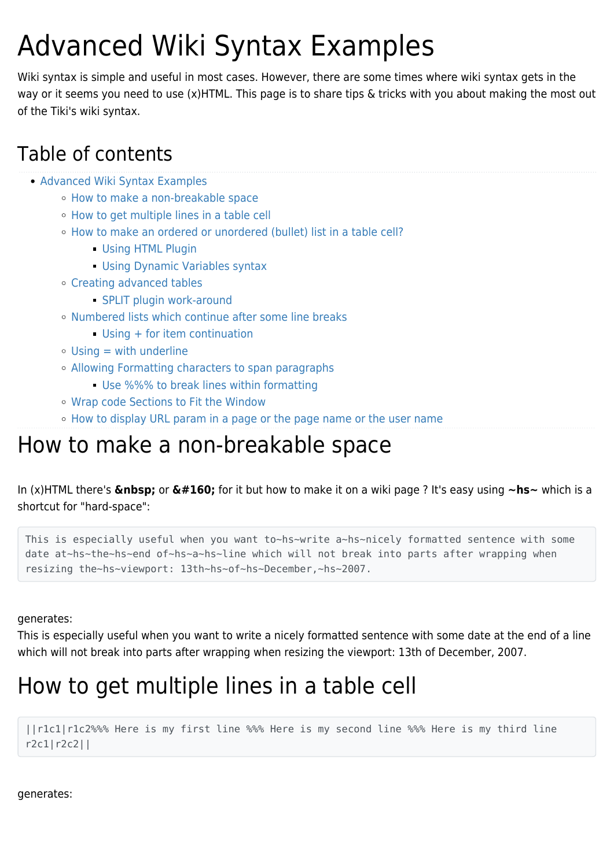# Advanced Wiki Syntax Examples

Wiki syntax is simple and useful in most cases. However, there are some times where wiki syntax gets in the way or it seems you need to use (x)HTML. This page is to share tips & tricks with you about making the most out of the Tiki's wiki syntax.

### Table of contents

- [Advanced Wiki Syntax Examples](#page--1-0)
	- [How to make a non-breakable space](#page--1-0)
	- [How to get multiple lines in a table cell](#page--1-0)
	- [How to make an ordered or unordered \(bullet\) list in a table cell?](#page--1-0)
		- **[Using HTML Plugin](#page--1-0)** [Using Dynamic Variables syntax](#page--1-0)
	- [Creating advanced tables](#page--1-0)
		- **[SPLIT plugin work-around](#page--1-0)**
	- o [Numbered lists which continue after some line breaks](#page--1-0)
		- [Using + for item continuation](#page--1-0)
	- $\circ$  [Using = with underline](#page--1-0)
	- [Allowing Formatting characters to span paragraphs](#page--1-0)
		- [Use %%% to break lines within formatting](#page--1-0)
	- [Wrap code Sections to Fit the Window](#page--1-0)
	- [How to display URL param in a page or the page name or the user name](#page--1-0)

## How to make a non-breakable space

In (x)HTML there's  $\&$ **nbsp;** or  $\&\#160$ ; for it but how to make it on a wiki page ? It's easy using  $\sim$ hs $\sim$  which is a shortcut for "hard-space":

This is especially useful when you want to~hs~write a~hs~nicely formatted sentence with some date at~hs~the~hs~end of~hs~a~hs~line which will not break into parts after wrapping when resizing the~hs~viewport: 13th~hs~of~hs~December,~hs~2007.

generates:

This is especially useful when you want to write a nicely formatted sentence with some date at the end of a line which will not break into parts after wrapping when resizing the viewport: 13th of December, 2007.

## How to get multiple lines in a table cell

||r1c1|r1c2%%% Here is my first line %%% Here is my second line %%% Here is my third line r2c1|r2c2||

generates: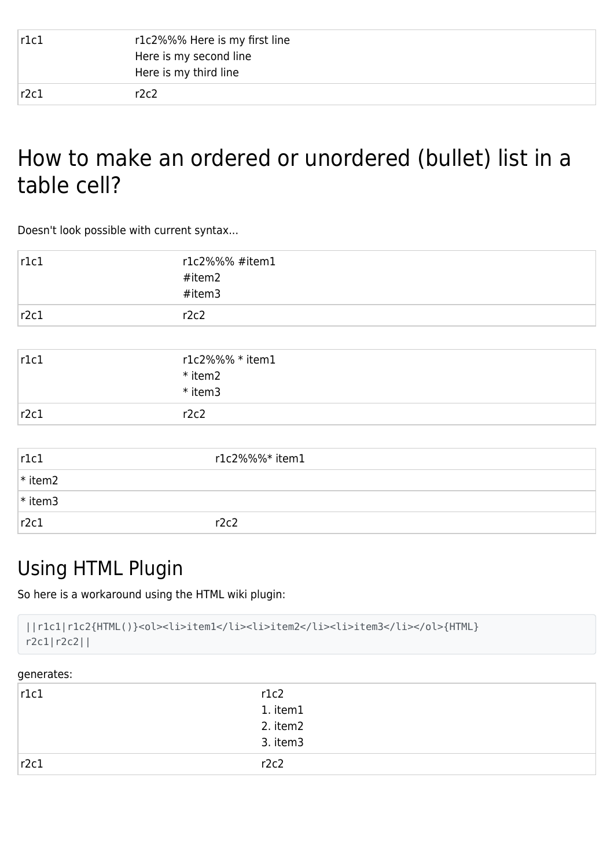| r1c1 | r1c2%%% Here is my first line<br>Here is my second line<br>Here is my third line |
|------|----------------------------------------------------------------------------------|
| r2c1 | r2c2                                                                             |

## How to make an ordered or unordered (bullet) list in a table cell?

Doesn't look possible with current syntax...

| r1c1 | r1c2%%% #item1 |
|------|----------------|
|      | #item2         |
|      | #item3         |
| r2c1 | r2c2           |

| r1c1 | r1c2%%% * item1<br>* item2<br>* item3 |
|------|---------------------------------------|
| r2c1 | r2c2                                  |

| r1c1      | r1c2%%%* item1 |
|-----------|----------------|
| $*$ item2 |                |
| $*$ item3 |                |
| r2c1      | r2c2           |

### Using HTML Plugin

So here is a workaround using the HTML wiki plugin:

```
||r1c1|r1c2{HTML()}<ol><li>item1</li><li>item2</li><li>item3</li></ol>{HTML}
r2c1|r2c2||
```
#### generates:

| r1c1 | r1c2     |
|------|----------|
|      | 1. item1 |
|      | 2. item2 |
|      | 3. item3 |
| r2c1 | r2c2     |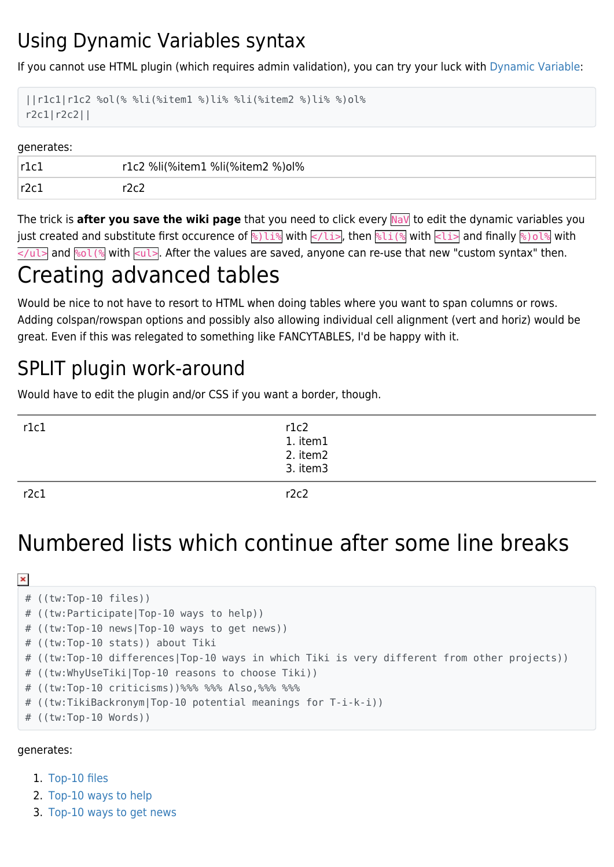### Using Dynamic Variables syntax

If you cannot use HTML plugin (which requires admin validation), you can try your luck with [Dynamic Variable:](https://doc.tiki.org/Dynamic-Variable)

```
||r1c1|r1c2 %ol(% %li(%item1 %)li% %li(%item2 %)li% %)ol%
r2c1|r2c2||
```
#### generates:

| $\mathsf{r1}\mathsf{r}$ | r1c2 %li(%item1 %li(%item2 %)ol% |
|-------------------------|----------------------------------|
| $\lceil r2c1\rceil$     |                                  |

The trick is **after you save the wiki page** that you need to click every NaV to edit the dynamic variables you just created and substitute first occurence of  $\frac{12}{8}$  with  $\frac{1}{2}$ , then  $\frac{1}{8}$  with  $\frac{1}{8}$  and finally  $\frac{1}{8}$ ) ol  $\frac{1}{8}$  with  $\leq$ /ul> and  $\leq$  ol(% with  $\leq$ ul>. After the values are saved, anyone can re-use that new "custom syntax" then.

## Creating advanced tables

Would be nice to not have to resort to HTML when doing tables where you want to span columns or rows. Adding colspan/rowspan options and possibly also allowing individual cell alignment (vert and horiz) would be great. Even if this was relegated to something like FANCYTABLES, I'd be happy with it.

### SPLIT plugin work-around

Would have to edit the plugin and/or CSS if you want a border, though.

| r1c1 |                                          |  |
|------|------------------------------------------|--|
|      |                                          |  |
|      |                                          |  |
|      | r1c2<br>1. item1<br>2. item2<br>3. item3 |  |
| r2c1 | r2c2                                     |  |

## Numbered lists which continue after some line breaks

```
\pmb{\times}# ((tw:Top-10 files))
 # ((tw:Participate|Top-10 ways to help))
 # ((tw:Top-10 news|Top-10 ways to get news))
 # ((tw:Top-10 stats)) about Tiki
 # ((tw:Top-10 differences|Top-10 ways in which Tiki is very different from other projects))
 # ((tw:WhyUseTiki|Top-10 reasons to choose Tiki))
 # ((tw:Top-10 criticisms))%%% %%% Also,%%% %%%
 # ((tw:TikiBackronym|Top-10 potential meanings for T-i-k-i))
 # ((tw:Top-10 Words))
```
generates:

- 1. [Top-10 files](http://tiki.org/Top-10%20files)
- 2. [Top-10 ways to help](http://tiki.org/Participate)
- 3. [Top-10 ways to get news](http://tiki.org/Top-10%20news)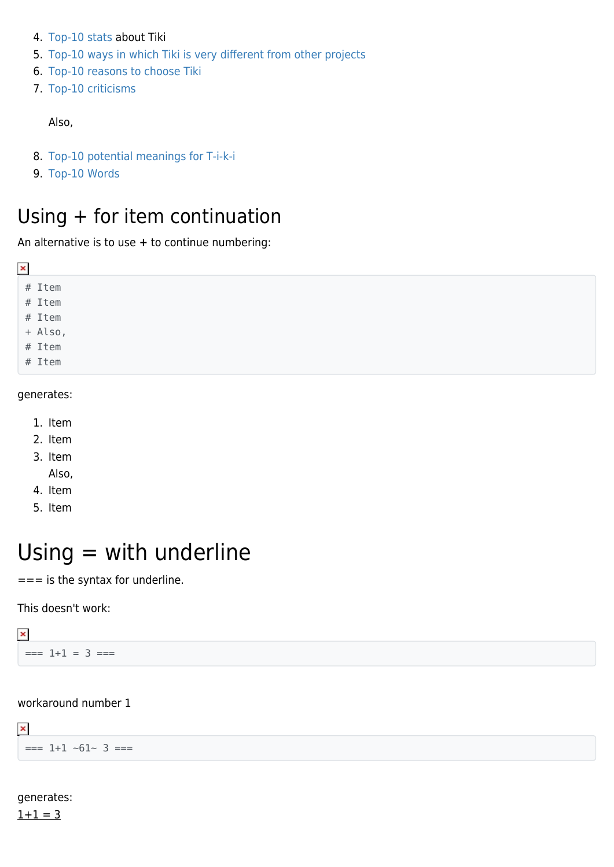- 4. [Top-10 stats](http://tiki.org/Top-10%20stats) about Tiki
- 5. [Top-10 ways in which Tiki is very different from other projects](http://tiki.org/Top-10%20differences)
- 6. [Top-10 reasons to choose Tiki](http://tiki.org/WhyUseTiki)
- 7. [Top-10 criticisms](http://tiki.org/Top-10%20criticisms)

Also,

- 8. [Top-10 potential meanings for T-i-k-i](http://tiki.org/TikiBackronym)
- 9. [Top-10 Words](http://tiki.org/Top-10%20Words)

### Using + for item continuation

An alternative is to use **+** to continue numbering:

| ×                 |
|-------------------|
| # Item            |
| # Item            |
| # Item            |
|                   |
| + Also,<br># Item |
| # Item            |
|                   |

#### generates:

- 1. Item
- 2. Item
- 3. Item
	- Also,
- 4. Item
- 5. Item

## $Using = with underline$

 $==$  is the syntax for underline.

This doesn't work:

 $\pmb{\times}$  $== 1+1 = 3 ==$ 

#### workaround number 1

 $\pmb{\times}$  $==$  1+1  $~61~3$  ===

#### generates:  $1+1 = 3$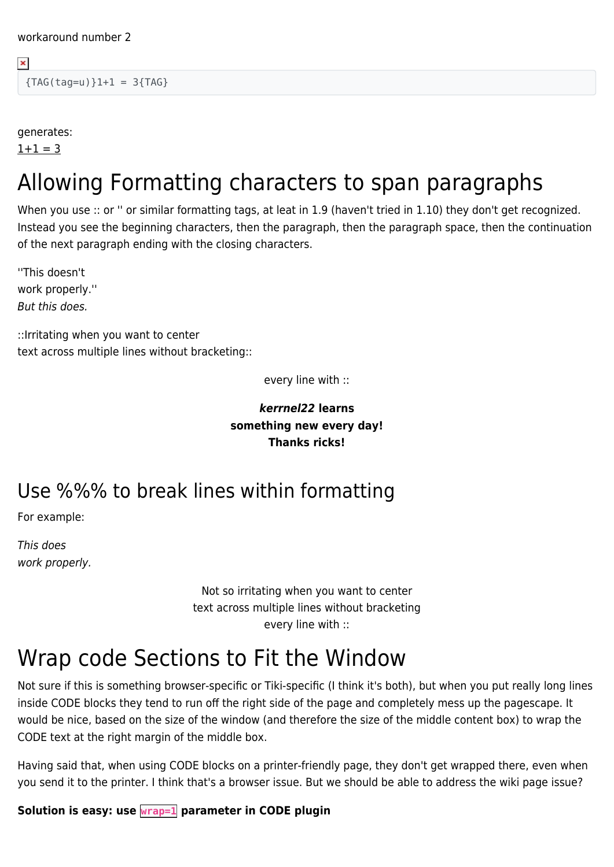${TAG(taq=u)}1+1 = 3{TAG}$ 

generates:

 $1+1 = 3$ 

 $\pmb{\times}$ 

## Allowing Formatting characters to span paragraphs

When you use :: or " or similar formatting tags, at leat in 1.9 (haven't tried in 1.10) they don't get recognized. Instead you see the beginning characters, then the paragraph, then the paragraph space, then the continuation of the next paragraph ending with the closing characters.

''This doesn't work properly.'' But this does.

::Irritating when you want to center text across multiple lines without bracketing::

every line with ::

### *kerrnel22* **learns something new every day! Thanks ricks!**

### Use %%% to break lines within formatting

For example:

This does work properly.

> Not so irritating when you want to center text across multiple lines without bracketing every line with ::

## Wrap code Sections to Fit the Window

Not sure if this is something browser-specific or Tiki-specific (I think it's both), but when you put really long lines inside CODE blocks they tend to run off the right side of the page and completely mess up the pagescape. It would be nice, based on the size of the window (and therefore the size of the middle content box) to wrap the CODE text at the right margin of the middle box.

Having said that, when using CODE blocks on a printer-friendly page, they don't get wrapped there, even when you send it to the printer. I think that's a browser issue. But we should be able to address the wiki page issue?

**Solution is easy: use wrap=1 parameter in CODE plugin**